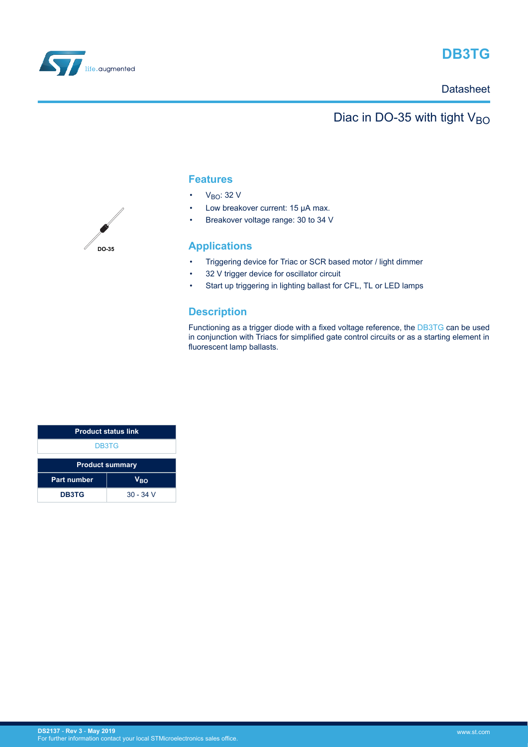

# **DB3TG**

### **Datasheet**

## Diac in DO-35 with tight  $V_{BO}$

### **Features**

- $\cdot$  V<sub>BO</sub>: 32 V
- Low breakover current: 15 µA max.
- Breakover voltage range: 30 to 34 V

### **Applications**

- Triggering device for Triac or SCR based motor / light dimmer
- 32 V trigger device for oscillator circuit
- Start up triggering in lighting ballast for CFL, TL or LED lamps

### **Description**

Functioning as a trigger diode with a fixed voltage reference, the [DB3TG](https://www.st.com/en/product/db3tg) can be used in conjunction with Triacs for simplified gate control circuits or as a starting element in fluorescent lamp ballasts.

| <b>Product status link</b> |                 |  |
|----------------------------|-----------------|--|
| DB3TG                      |                 |  |
| <b>Product summary</b>     |                 |  |
| <b>Part number</b>         | V <sub>BO</sub> |  |
| <b>DB3TG</b>               | $30 - 34$ V     |  |

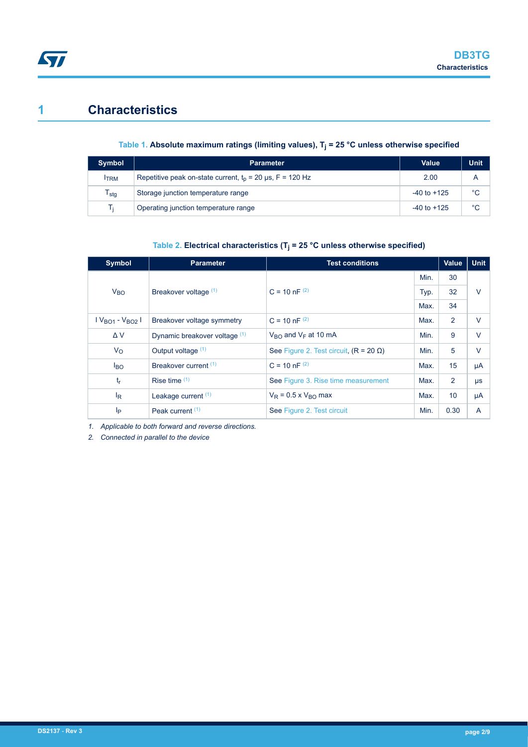# **1 Characteristics**

 $\sqrt{2}$ 

### **Table 1. Absolute maximum ratings (limiting values), T<sup>j</sup> = 25 °C unless otherwise specified**

| <b>Symbol</b> | <b>Parameter</b>                                            | <b>Value</b>    | <b>Unit</b> |
|---------------|-------------------------------------------------------------|-----------------|-------------|
| <b>ITRM</b>   | Repetitive peak on-state current, $t_p$ = 20 µs, F = 120 Hz | 2.00            | А           |
| $T_{\sf stg}$ | Storage junction temperature range                          | $-40$ to $+125$ | °C          |
| Tĩ            | Operating junction temperature range                        | $-40$ to $+125$ | °C          |

### **Table 2. Electrical characteristics (T<sup>j</sup> = 25 °C unless otherwise specified)**

| <b>Symbol</b>             | <b>Parameter</b>              | <b>Test conditions</b>                        |      | <b>Value</b>    | <b>Unit</b> |
|---------------------------|-------------------------------|-----------------------------------------------|------|-----------------|-------------|
|                           |                               |                                               | Min. | 30              |             |
| $V_{BO}$                  | Breakover voltage (1)         | $C = 10 nF^{(2)}$                             | Typ. | 32              | $\vee$      |
|                           |                               |                                               | Max. | 34              |             |
| $V_{BO1} - V_{BO2}$       | Breakover voltage symmetry    | $C = 10 nF^{(2)}$                             |      | 2               | $\vee$      |
| $\Delta V$                | Dynamic breakover voltage (1) | $V_{\rm BO}$ and $V_{\rm F}$ at 10 mA         | Min. | 9               | $\vee$      |
| $V_{\rm O}$               | Output voltage (1)            | See Figure 2. Test circuit, $(R = 20 \Omega)$ | Min. | 5               | $\vee$      |
| $I_{BO}$                  | Breakover current (1)         | $C = 10 nF^{(2)}$                             | Max. | 15              | μA          |
| $t_{r}$                   | Rise time $(1)$               | See Figure 3. Rise time measurement           | Max. | $\overline{2}$  | $\mu s$     |
| $\mathsf{I}_{\mathsf{R}}$ | Leakage current $(1)$         | $V_R$ = 0.5 x $V_{RO}$ max                    | Max. | 10 <sup>1</sup> | μA          |
| Iр                        | Peak current <sup>(1)</sup>   | See Figure 2. Test circuit                    | Min. | 0.30            | A           |

*1. Applicable to both forward and reverse directions.*

*2. Connected in parallel to the device*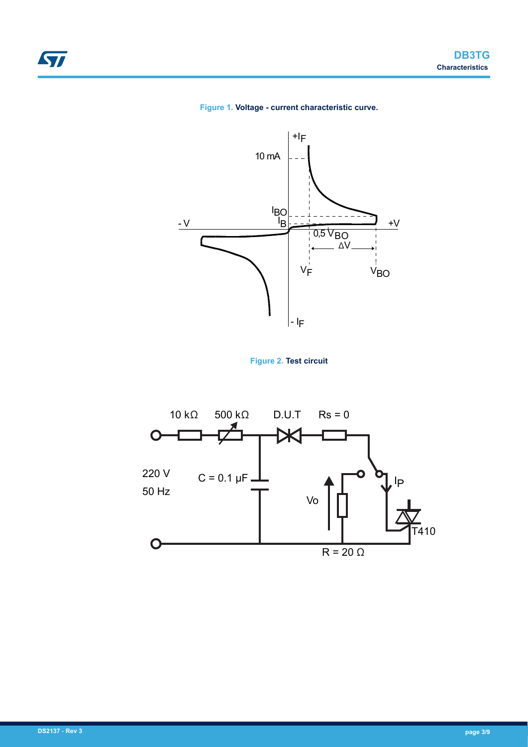







<span id="page-2-0"></span>ST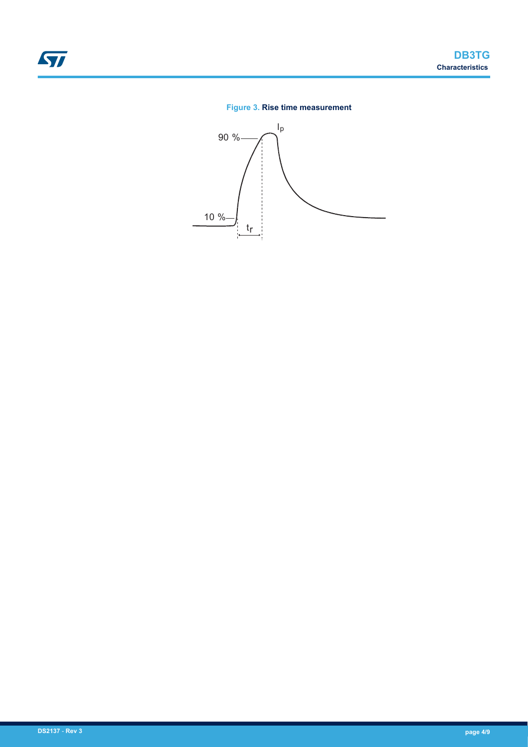### **Figure 3. Rise time measurement**

<span id="page-3-0"></span>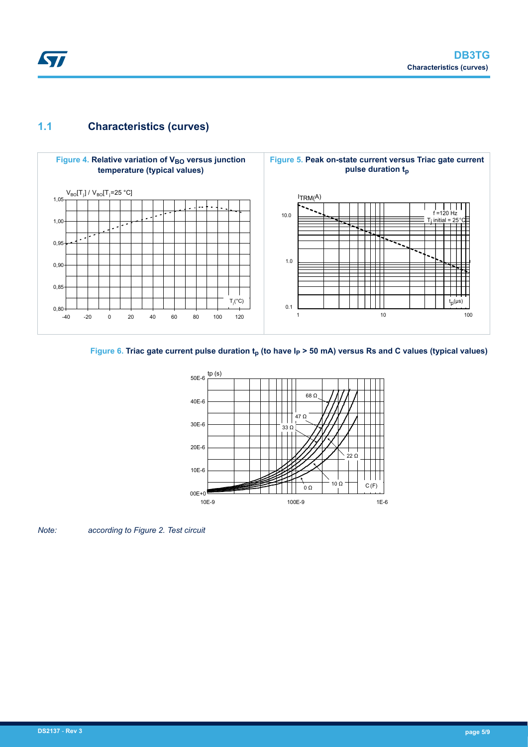## <span id="page-4-0"></span>**1.1 Characteristics (curves)**



### Figure 6. Triac gate current pulse duration  $t_p$  (to have  $I_p$  > 50 mA) versus Rs and C values (typical values)



*Note: according to Figure 2. Test circuit*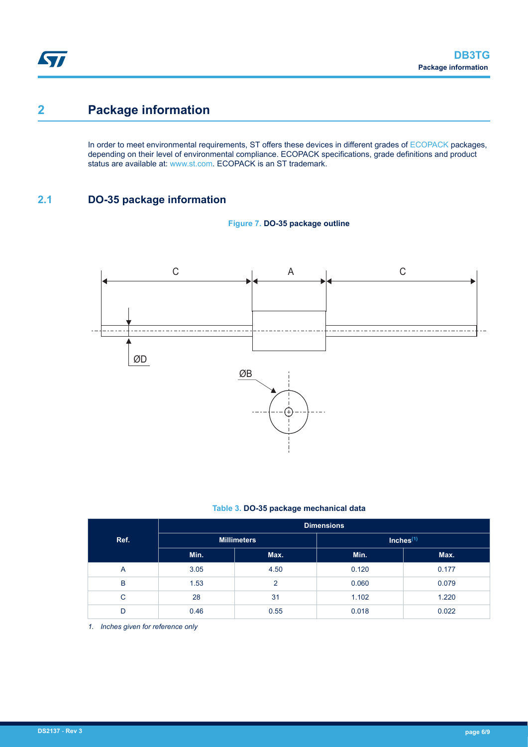# **2 Package information**

In order to meet environmental requirements, ST offers these devices in different grades of [ECOPACK](https://www.st.com/ecopack) packages, depending on their level of environmental compliance. ECOPACK specifications, grade definitions and product status are available at: [www.st.com.](http://www.st.com) ECOPACK is an ST trademark.

## **2.1 DO-35 package information**



**Figure 7. DO-35 package outline**

#### **Table 3. DO-35 package mechanical data**

|      | <b>Dimensions</b>  |                |              |       |
|------|--------------------|----------------|--------------|-------|
| Ref. | <b>Millimeters</b> |                | Inches $(1)$ |       |
|      | Min.               | Max.           | Min.         | Max.  |
| A    | 3.05               | 4.50           | 0.120        | 0.177 |
| B    | 1.53               | $\overline{2}$ | 0.060        | 0.079 |
| C    | 28                 | 31             | 1.102        | 1.220 |
| D    | 0.46               | 0.55           | 0.018        | 0.022 |

*1. Inches given for reference only*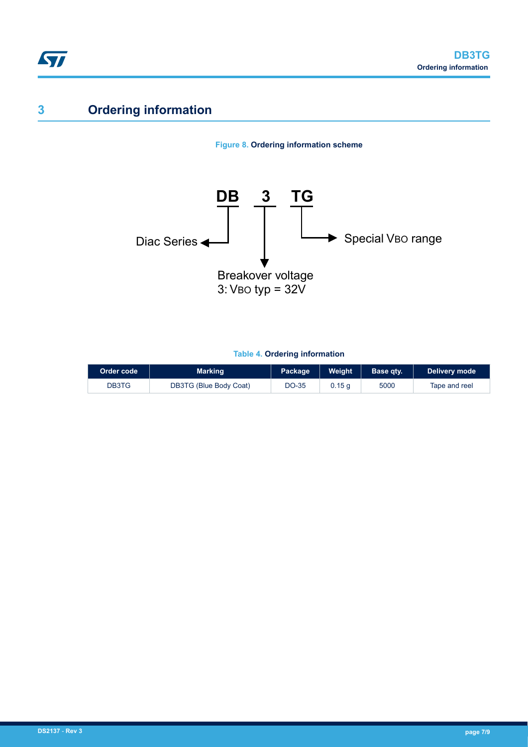

# **3 Ordering information**

### **Figure 8. Ordering information scheme**



### **Table 4. Ordering information**

| Order code | <b>Marking</b>         | Package | Weight | Base qty. | Delivery mode |
|------------|------------------------|---------|--------|-----------|---------------|
| DB3TG      | DB3TG (Blue Body Coat) | DO-35   | 0.15 a | 5000      | Tape and reel |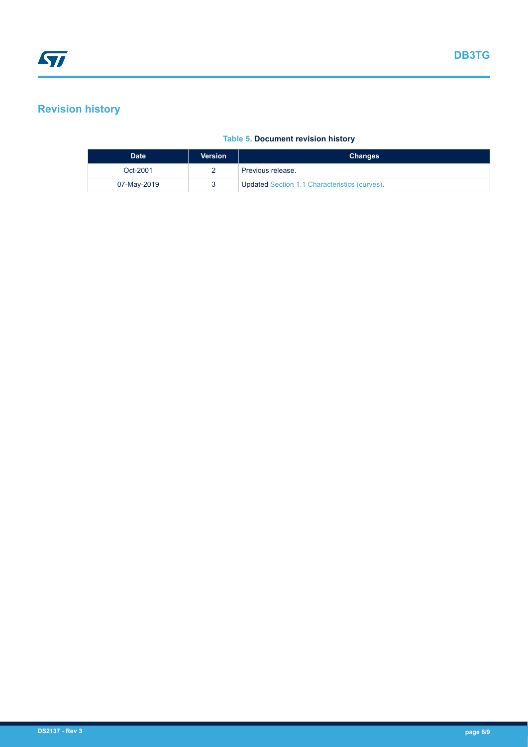## **Revision history**

### **Table 5. Document revision history**

| <b>Date</b> | <b>Version</b> | <b>Changes</b>                                       |  |
|-------------|----------------|------------------------------------------------------|--|
| Oct-2001    |                | Previous release.                                    |  |
| 07-May-2019 |                | <b>Updated Section 1.1 Characteristics (curves).</b> |  |